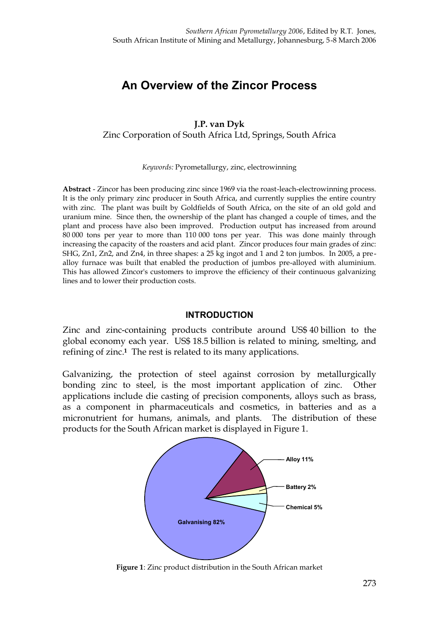# **An Overview of the Zincor Process**

## **J.P. van Dyk** Zinc Corporation of South Africa Ltd, Springs, South Africa

*Keywords:* Pyrometallurgy, zinc, electrowinning

**Abstract** - Zincor has been producing zinc since 1969 via the roast-leach-electrowinning process. It is the only primary zinc producer in South Africa, and currently supplies the entire country with zinc. The plant was built by Goldfields of South Africa, on the site of an old gold and uranium mine. Since then, the ownership of the plant has changed a couple of times, and the plant and process have also been improved. Production output has increased from around 80 000 tons per year to more than 110 000 tons per year. This was done mainly through increasing the capacity of the roasters and acid plant. Zincor produces four main grades of zinc: SHG, Zn1, Zn2, and Zn4, in three shapes: a 25 kg ingot and 1 and 2 ton jumbos. In 2005, a prealloy furnace was built that enabled the production of jumbos pre-alloyed with aluminium. This has allowed Zincor's customers to improve the efficiency of their continuous galvanizing lines and to lower their production costs.

#### **INTRODUCTION**

Zinc and zinc-containing products contribute around US\$ 40 billion to the global economy each year. US\$ 18.5 billion is related to mining, smelting, and refining of zinc.**1** The rest is related to its many applications.

Galvanizing, the protection of steel against corrosion by metallurgically bonding zinc to steel, is the most important application of zinc. Other applications include die casting of precision components, alloys such as brass, as a component in pharmaceuticals and cosmetics, in batteries and as a micronutrient for humans, animals, and plants. The distribution of these products for the South African market is displayed in Figure 1.



**Figure 1**: Zinc product distribution in the South African market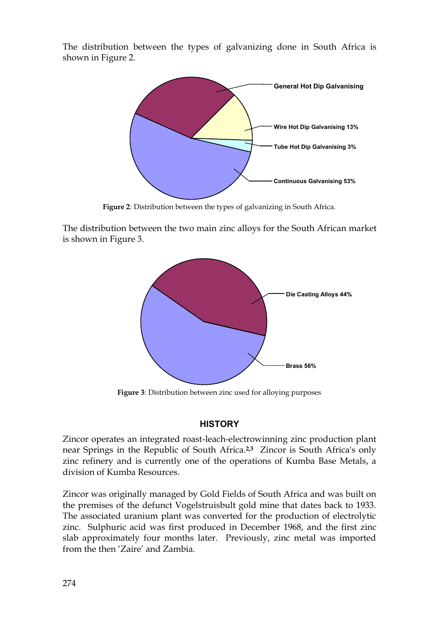The distribution between the types of galvanizing done in South Africa is shown in Figure 2.



**Figure 2**: Distribution between the types of galvanizing in South Africa.

The distribution between the two main zinc alloys for the South African market is shown in Figure 3.



**Figure 3**: Distribution between zinc used for alloying purposes

## **HISTORY**

Zincor operates an integrated roast-leach-electrowinning zinc production plant near Springs in the Republic of South Africa.**2,3** Zincor is South Africa's only zinc refinery and is currently one of the operations of Kumba Base Metals, a division of Kumba Resources.

Zincor was originally managed by Gold Fields of South Africa and was built on the premises of the defunct Vogelstruisbult gold mine that dates back to 1933. The associated uranium plant was converted for the production of electrolytic zinc. Sulphuric acid was first produced in December 1968, and the first zinc slab approximately four months later. Previously, zinc metal was imported from the then 'Zaire' and Zambia.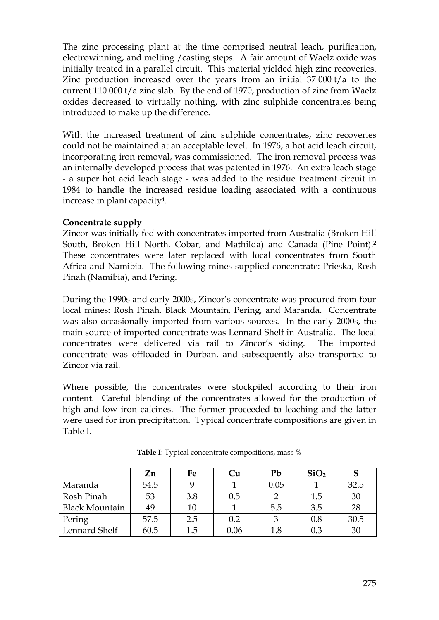The zinc processing plant at the time comprised neutral leach, purification, electrowinning, and melting /casting steps. A fair amount of Waelz oxide was initially treated in a parallel circuit. This material yielded high zinc recoveries. Zinc production increased over the years from an initial 37 000 t/a to the current 110 000 t/a zinc slab. By the end of 1970, production of zinc from Waelz oxides decreased to virtually nothing, with zinc sulphide concentrates being introduced to make up the difference.

With the increased treatment of zinc sulphide concentrates, zinc recoveries could not be maintained at an acceptable level. In 1976, a hot acid leach circuit, incorporating iron removal, was commissioned. The iron removal process was an internally developed process that was patented in 1976. An extra leach stage - a super hot acid leach stage - was added to the residue treatment circuit in 1984 to handle the increased residue loading associated with a continuous increase in plant capacity**4**.

## **Concentrate supply**

Zincor was initially fed with concentrates imported from Australia (Broken Hill South, Broken Hill North, Cobar, and Mathilda) and Canada (Pine Point).**<sup>2</sup>** These concentrates were later replaced with local concentrates from South Africa and Namibia. The following mines supplied concentrate: Prieska, Rosh Pinah (Namibia), and Pering.

During the 1990s and early 2000s, Zincor's concentrate was procured from four local mines: Rosh Pinah, Black Mountain, Pering, and Maranda. Concentrate was also occasionally imported from various sources. In the early 2000s, the main source of imported concentrate was Lennard Shelf in Australia. The local concentrates were delivered via rail to Zincor's siding. The imported concentrate was offloaded in Durban, and subsequently also transported to Zincor via rail.

Where possible, the concentrates were stockpiled according to their iron content. Careful blending of the concentrates allowed for the production of high and low iron calcines. The former proceeded to leaching and the latter were used for iron precipitation. Typical concentrate compositions are given in Table I.

|                       | Zn   | Fe  | Ċи   | Pb   | SiO <sub>2</sub> |      |
|-----------------------|------|-----|------|------|------------------|------|
| Maranda               | 54.5 |     |      | 0.05 |                  | 32.5 |
| Rosh Pinah            | 53   | 3.8 | 0.5  |      | 1.5              | 30   |
| <b>Black Mountain</b> | 49   | 10  |      | 5.5  | 3.5              | 28   |
| Pering                | 57.5 | 2.5 | 0.2  |      | 0.8              | 30.5 |
| Lennard Shelf         | 60.5 | 1.5 | 0.06 | 1.8  | 0.3              | 30   |

**Table I**: Typical concentrate compositions, mass %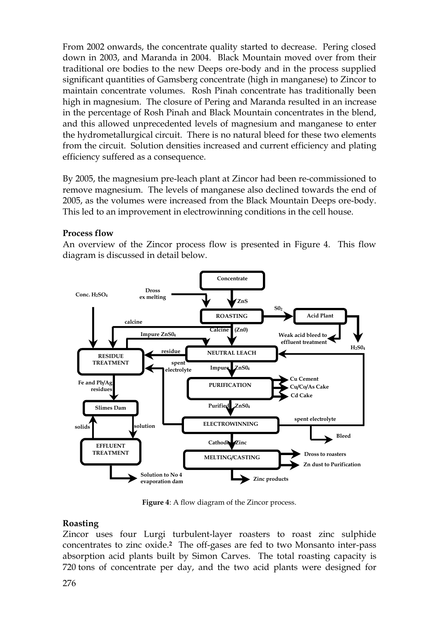From 2002 onwards, the concentrate quality started to decrease. Pering closed down in 2003, and Maranda in 2004. Black Mountain moved over from their traditional ore bodies to the new Deeps ore-body and in the process supplied significant quantities of Gamsberg concentrate (high in manganese) to Zincor to maintain concentrate volumes. Rosh Pinah concentrate has traditionally been high in magnesium. The closure of Pering and Maranda resulted in an increase in the percentage of Rosh Pinah and Black Mountain concentrates in the blend, and this allowed unprecedented levels of magnesium and manganese to enter the hydrometallurgical circuit. There is no natural bleed for these two elements from the circuit. Solution densities increased and current efficiency and plating efficiency suffered as a consequence.

By 2005, the magnesium pre-leach plant at Zincor had been re-commissioned to remove magnesium. The levels of manganese also declined towards the end of 2005, as the volumes were increased from the Black Mountain Deeps ore-body. This led to an improvement in electrowinning conditions in the cell house.

## **Process flow**

An overview of the Zincor process flow is presented in Figure 4. This flow diagram is discussed in detail below.



**Figure 4**: A flow diagram of the Zincor process.

## **Roasting**

Zincor uses four Lurgi turbulent-layer roasters to roast zinc sulphide concentrates to zinc oxide.**2** The off-gases are fed to two Monsanto inter-pass absorption acid plants built by Simon Carves. The total roasting capacity is 720 tons of concentrate per day, and the two acid plants were designed for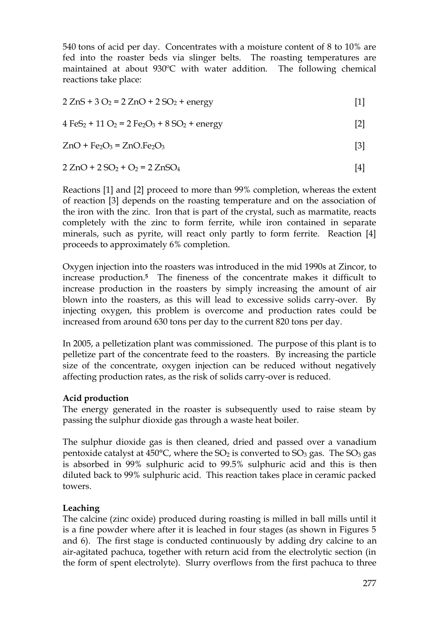540 tons of acid per day. Concentrates with a moisture content of 8 to 10% are fed into the roaster beds via slinger belts. The roasting temperatures are maintained at about 930ºC with water addition. The following chemical reactions take place:

 $2 \text{ ZnS} + 3 \text{O}_2 = 2 \text{ ZnO} + 2 \text{ SO}_2 + \text{energy}$  [1]

 $4 \text{FeS}_2 + 11 \text{ O}_2 = 2 \text{Fe}_2\text{O}_3 + 8 \text{ SO}_2 + \text{energy}$  [2]

$$
ZnO + Fe2O3 = ZnO.Fe2O3
$$
 [3]

$$
2 ZnO + 2 SO2 + O2 = 2 ZnSO4
$$
 [4]

Reactions [1] and [2] proceed to more than 99% completion, whereas the extent of reaction [3] depends on the roasting temperature and on the association of the iron with the zinc. Iron that is part of the crystal, such as marmatite, reacts completely with the zinc to form ferrite, while iron contained in separate minerals, such as pyrite, will react only partly to form ferrite. Reaction [4] proceeds to approximately 6% completion.

Oxygen injection into the roasters was introduced in the mid 1990s at Zincor, to increase production.**<sup>5</sup>** The fineness of the concentrate makes it difficult to increase production in the roasters by simply increasing the amount of air blown into the roasters, as this will lead to excessive solids carry-over. By injecting oxygen, this problem is overcome and production rates could be increased from around 630 tons per day to the current 820 tons per day.

In 2005, a pelletization plant was commissioned. The purpose of this plant is to pelletize part of the concentrate feed to the roasters. By increasing the particle size of the concentrate, oxygen injection can be reduced without negatively affecting production rates, as the risk of solids carry-over is reduced.

#### **Acid production**

The energy generated in the roaster is subsequently used to raise steam by passing the sulphur dioxide gas through a waste heat boiler.

The sulphur dioxide gas is then cleaned, dried and passed over a vanadium pentoxide catalyst at  $450^{\circ}$ C, where the SO<sub>2</sub> is converted to SO<sub>3</sub> gas. The SO<sub>3</sub> gas is absorbed in 99% sulphuric acid to 99.5% sulphuric acid and this is then diluted back to 99% sulphuric acid. This reaction takes place in ceramic packed towers.

## **Leaching**

The calcine (zinc oxide) produced during roasting is milled in ball mills until it is a fine powder where after it is leached in four stages (as shown in Figures 5 and 6). The first stage is conducted continuously by adding dry calcine to an air-agitated pachuca, together with return acid from the electrolytic section (in the form of spent electrolyte). Slurry overflows from the first pachuca to three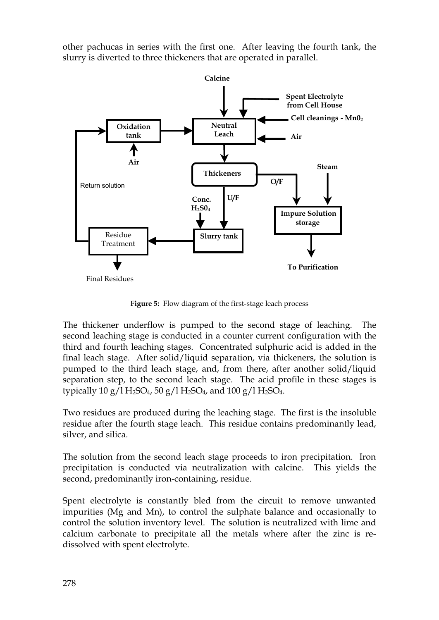other pachucas in series with the first one. After leaving the fourth tank, the slurry is diverted to three thickeners that are operated in parallel.



**Figure 5:** Flow diagram of the first-stage leach process

The thickener underflow is pumped to the second stage of leaching. The second leaching stage is conducted in a counter current configuration with the third and fourth leaching stages. Concentrated sulphuric acid is added in the final leach stage. After solid/liquid separation, via thickeners, the solution is pumped to the third leach stage, and, from there, after another solid/liquid separation step, to the second leach stage. The acid profile in these stages is typically 10 g/l H<sub>2</sub>SO<sub>4</sub>, 50 g/l H<sub>2</sub>SO<sub>4</sub>, and 100 g/l H<sub>2</sub>SO<sub>4</sub>.

Two residues are produced during the leaching stage. The first is the insoluble residue after the fourth stage leach. This residue contains predominantly lead, silver, and silica.

The solution from the second leach stage proceeds to iron precipitation. Iron precipitation is conducted via neutralization with calcine. This yields the second, predominantly iron-containing, residue.

Spent electrolyte is constantly bled from the circuit to remove unwanted impurities (Mg and Mn), to control the sulphate balance and occasionally to control the solution inventory level. The solution is neutralized with lime and calcium carbonate to precipitate all the metals where after the zinc is redissolved with spent electrolyte.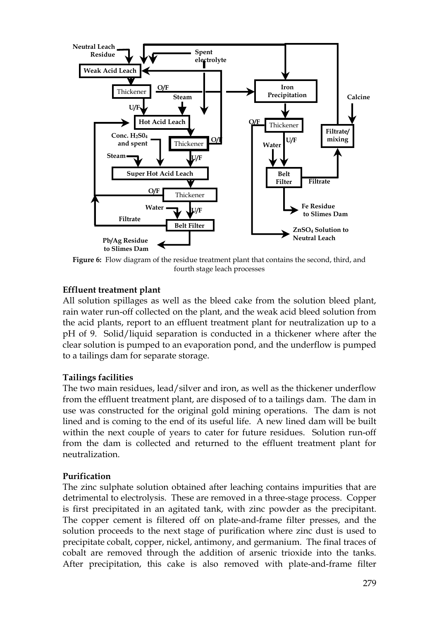

**Figure 6:** Flow diagram of the residue treatment plant that contains the second, third, and fourth stage leach processes

## **Effluent treatment plant**

All solution spillages as well as the bleed cake from the solution bleed plant, rain water run-off collected on the plant, and the weak acid bleed solution from the acid plants, report to an effluent treatment plant for neutralization up to a pH of 9. Solid/liquid separation is conducted in a thickener where after the clear solution is pumped to an evaporation pond, and the underflow is pumped to a tailings dam for separate storage.

#### **Tailings facilities**

The two main residues, lead/silver and iron, as well as the thickener underflow from the effluent treatment plant, are disposed of to a tailings dam. The dam in use was constructed for the original gold mining operations. The dam is not lined and is coming to the end of its useful life. A new lined dam will be built within the next couple of years to cater for future residues. Solution run-off from the dam is collected and returned to the effluent treatment plant for neutralization.

#### **Purification**

The zinc sulphate solution obtained after leaching contains impurities that are detrimental to electrolysis. These are removed in a three-stage process. Copper is first precipitated in an agitated tank, with zinc powder as the precipitant. The copper cement is filtered off on plate-and-frame filter presses, and the solution proceeds to the next stage of purification where zinc dust is used to precipitate cobalt, copper, nickel, antimony, and germanium. The final traces of cobalt are removed through the addition of arsenic trioxide into the tanks. After precipitation, this cake is also removed with plate-and-frame filter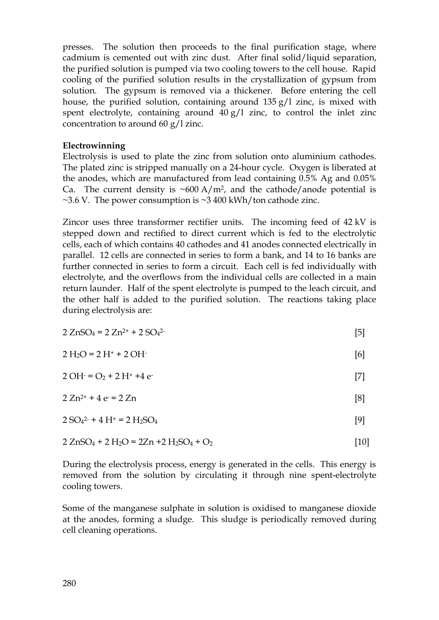presses. The solution then proceeds to the final purification stage, where cadmium is cemented out with zinc dust. After final solid/liquid separation, the purified solution is pumped via two cooling towers to the cell house. Rapid cooling of the purified solution results in the crystallization of gypsum from solution. The gypsum is removed via a thickener. Before entering the cell house, the purified solution, containing around 135 g/l zinc, is mixed with spent electrolyte, containing around  $40 g/l$  zinc, to control the inlet zinc concentration to around 60 g/l zinc.

#### **Electrowinning**

Electrolysis is used to plate the zinc from solution onto aluminium cathodes. The plated zinc is stripped manually on a 24-hour cycle. Oxygen is liberated at the anodes, which are manufactured from lead containing 0.5% Ag and 0.05% Ca. The current density is  $\sim 600 \text{ A/m}^2$ , and the cathode/anode potential is  $\sim$ 3.6 V. The power consumption is  $\sim$ 3 400 kWh/ton cathode zinc.

Zincor uses three transformer rectifier units. The incoming feed of 42 kV is stepped down and rectified to direct current which is fed to the electrolytic cells, each of which contains 40 cathodes and 41 anodes connected electrically in parallel. 12 cells are connected in series to form a bank, and 14 to 16 banks are further connected in series to form a circuit. Each cell is fed individually with electrolyte, and the overflows from the individual cells are collected in a main return launder. Half of the spent electrolyte is pumped to the leach circuit, and the other half is added to the purified solution. The reactions taking place during electrolysis are:

$$
2 ZnSO_4 = 2 Zn^{2+} + 2 SO_4^{2-}
$$
 [5]

$$
2 H_2O = 2 H^+ + 2 OH^-
$$
 [6]

$$
2 \text{OH} = \text{O}_2 + 2 \text{H}^+ + 4 \text{e} \tag{7}
$$

$$
2 Zn^{2+} + 4 e = 2 Zn
$$
 [8]

$$
2 SO42 + 4 H+ = 2 H2SO4
$$
 [9]

$$
2 ZnSO4 + 2 H2O = 2 Zn + 2 H2SO4 + O2
$$
 [10]

During the electrolysis process, energy is generated in the cells. This energy is removed from the solution by circulating it through nine spent-electrolyte cooling towers.

Some of the manganese sulphate in solution is oxidised to manganese dioxide at the anodes, forming a sludge. This sludge is periodically removed during cell cleaning operations.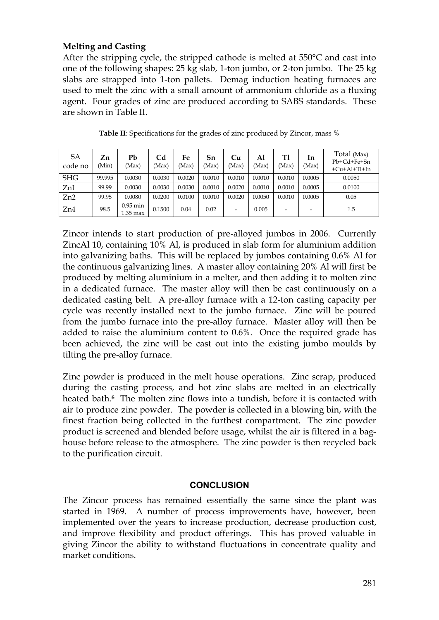## **Melting and Casting**

After the stripping cycle, the stripped cathode is melted at 550°C and cast into one of the following shapes: 25 kg slab, 1-ton jumbo, or 2-ton jumbo. The 25 kg slabs are strapped into 1-ton pallets. Demag induction heating furnaces are used to melt the zinc with a small amount of ammonium chloride as a fluxing agent. Four grades of zinc are produced according to SABS standards. These are shown in Table II.

| SA<br>code no | Zn<br>(Min) | Pb<br>(Max)              | Cd<br>(Max) | Fe<br>(Max) | Sn<br>(Max) | Cu<br>(Max) | Al<br>(Max) | T1<br>(Max) | In<br>(Max) | Total (Max)<br>Pb+Cd+Fe+Sn<br>$+Cu+Al+Tl+In$ |
|---------------|-------------|--------------------------|-------------|-------------|-------------|-------------|-------------|-------------|-------------|----------------------------------------------|
| <b>SHG</b>    | 99.995      | 0.0030                   | 0.0030      | 0.0020      | 0.0010      | 0.0010      | 0.0010      | 0.0010      | 0.0005      | 0.0050                                       |
| Zn1           | 99.99       | 0.0030                   | 0.0030      | 0.0030      | 0.0010      | 0.0020      | 0.0010      | 0.0010      | 0.0005      | 0.0100                                       |
| Zn2           | 99.95       | 0.0080                   | 0.0200      | 0.0100      | 0.0010      | 0.0020      | 0.0050      | 0.0010      | 0.0005      | 0.05                                         |
| Zn4           | 98.5        | $0.95$ min<br>$1.35$ max | 0.1500      | 0.04        | 0.02        | -           | 0.005       |             |             | 1.5                                          |

**Table II**: Specifications for the grades of zinc produced by Zincor, mass %

Zincor intends to start production of pre-alloyed jumbos in 2006. Currently ZincAl 10, containing 10% Al, is produced in slab form for aluminium addition into galvanizing baths. This will be replaced by jumbos containing 0.6% Al for the continuous galvanizing lines. A master alloy containing 20% Al will first be produced by melting aluminium in a melter, and then adding it to molten zinc in a dedicated furnace. The master alloy will then be cast continuously on a dedicated casting belt. A pre-alloy furnace with a 12-ton casting capacity per cycle was recently installed next to the jumbo furnace. Zinc will be poured from the jumbo furnace into the pre-alloy furnace. Master alloy will then be added to raise the aluminium content to 0.6%. Once the required grade has been achieved, the zinc will be cast out into the existing jumbo moulds by tilting the pre-alloy furnace.

Zinc powder is produced in the melt house operations. Zinc scrap, produced during the casting process, and hot zinc slabs are melted in an electrically heated bath.**6** The molten zinc flows into a tundish, before it is contacted with air to produce zinc powder. The powder is collected in a blowing bin, with the finest fraction being collected in the furthest compartment. The zinc powder product is screened and blended before usage, whilst the air is filtered in a baghouse before release to the atmosphere. The zinc powder is then recycled back to the purification circuit.

#### **CONCLUSION**

The Zincor process has remained essentially the same since the plant was started in 1969. A number of process improvements have, however, been implemented over the years to increase production, decrease production cost, and improve flexibility and product offerings. This has proved valuable in giving Zincor the ability to withstand fluctuations in concentrate quality and market conditions.